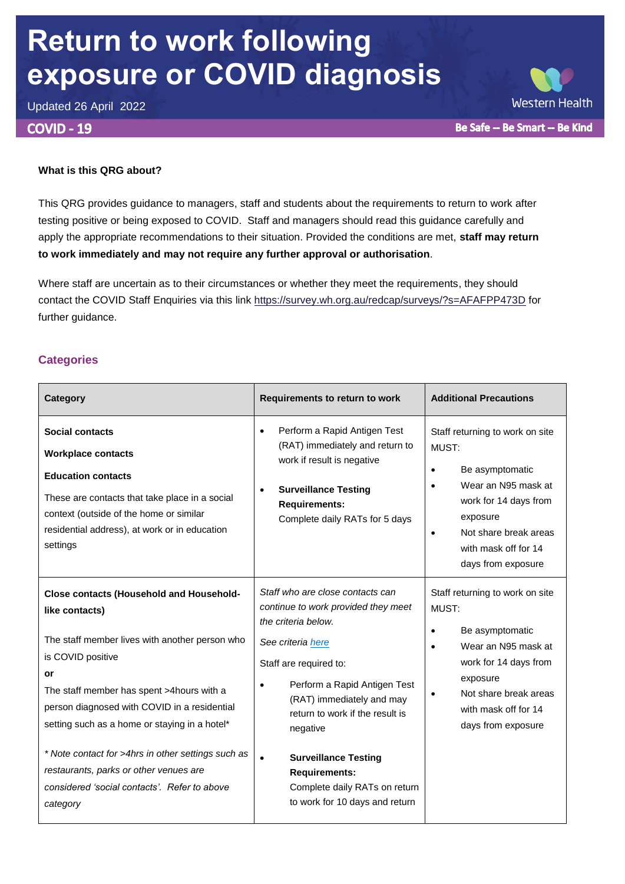# **Return to work following exposure or COVID diagnosis**

Updated 26 April 2022

### **COVID - 19**

#### **What is this QRG about?**

This QRG provides guidance to managers, staff and students about the requirements to return to work after testing positive or being exposed to COVID. Staff and managers should read this guidance carefully and apply the appropriate recommendations to their situation. Provided the conditions are met, **staff may return to work immediately and may not require any further approval or authorisation**.

Where staff are uncertain as to their circumstances or whether they meet the requirements, they should contact the COVID Staff Enquiries via this link<https://survey.wh.org.au/redcap/surveys/?s=AFAFPP473D> for further guidance.

# **Categories**

| Category                                                                                                                                                                                                                                                                                     | Requirements to return to work                                                                                                                                                                                                                                         | <b>Additional Precautions</b>                                                                                                                                                                                                         |
|----------------------------------------------------------------------------------------------------------------------------------------------------------------------------------------------------------------------------------------------------------------------------------------------|------------------------------------------------------------------------------------------------------------------------------------------------------------------------------------------------------------------------------------------------------------------------|---------------------------------------------------------------------------------------------------------------------------------------------------------------------------------------------------------------------------------------|
| <b>Social contacts</b><br><b>Workplace contacts</b><br><b>Education contacts</b><br>These are contacts that take place in a social<br>context (outside of the home or similar<br>residential address), at work or in education<br>settings                                                   | Perform a Rapid Antigen Test<br>$\bullet$<br>(RAT) immediately and return to<br>work if result is negative<br><b>Surveillance Testing</b><br>$\bullet$<br><b>Requirements:</b><br>Complete daily RATs for 5 days                                                       | Staff returning to work on site<br>MUST:<br>Be asymptomatic<br>$\bullet$<br>Wear an N95 mask at<br>$\bullet$<br>work for 14 days from<br>exposure<br>Not share break areas<br>$\bullet$<br>with mask off for 14<br>days from exposure |
| <b>Close contacts (Household and Household-</b><br>like contacts)<br>The staff member lives with another person who<br>is COVID positive<br>or<br>The staff member has spent >4hours with a<br>person diagnosed with COVID in a residential<br>setting such as a home or staying in a hotel* | Staff who are close contacts can<br>continue to work provided they meet<br>the criteria below.<br>See criteria here<br>Staff are required to:<br>Perform a Rapid Antigen Test<br>$\bullet$<br>(RAT) immediately and may<br>return to work if the result is<br>negative | Staff returning to work on site<br>MUST:<br>Be asymptomatic<br>$\bullet$<br>Wear an N95 mask at<br>$\bullet$<br>work for 14 days from<br>exposure<br>Not share break areas<br>with mask off for 14<br>days from exposure              |
| * Note contact for >4hrs in other settings such as<br>restaurants, parks or other venues are<br>considered 'social contacts'. Refer to above<br>category                                                                                                                                     | <b>Surveillance Testing</b><br>$\bullet$<br><b>Requirements:</b><br>Complete daily RATs on return<br>to work for 10 days and return                                                                                                                                    |                                                                                                                                                                                                                                       |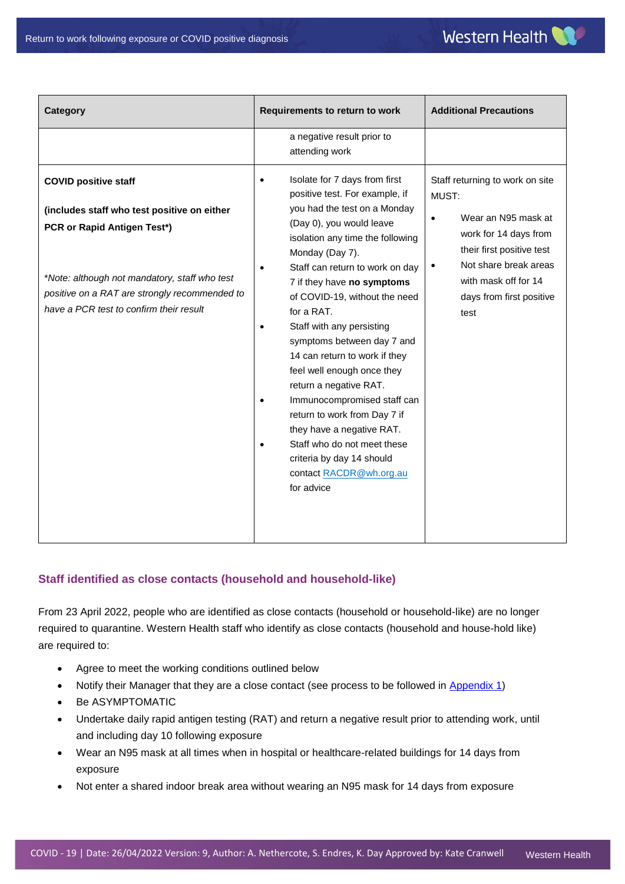| Category                                                                                                                                                                                                                                               | Requirements to return to work                                                                                                                                                                                                                                                                                                                                                                                                                                                                                                                                                                                                                                                                                           | <b>Additional Precautions</b>                                                                                                                                                                                                |  |
|--------------------------------------------------------------------------------------------------------------------------------------------------------------------------------------------------------------------------------------------------------|--------------------------------------------------------------------------------------------------------------------------------------------------------------------------------------------------------------------------------------------------------------------------------------------------------------------------------------------------------------------------------------------------------------------------------------------------------------------------------------------------------------------------------------------------------------------------------------------------------------------------------------------------------------------------------------------------------------------------|------------------------------------------------------------------------------------------------------------------------------------------------------------------------------------------------------------------------------|--|
|                                                                                                                                                                                                                                                        | a negative result prior to<br>attending work                                                                                                                                                                                                                                                                                                                                                                                                                                                                                                                                                                                                                                                                             |                                                                                                                                                                                                                              |  |
| <b>COVID positive staff</b><br>(includes staff who test positive on either<br>PCR or Rapid Antigen Test*)<br>*Note: although not mandatory, staff who test<br>positive on a RAT are strongly recommended to<br>have a PCR test to confirm their result | Isolate for 7 days from first<br>$\bullet$<br>positive test. For example, if<br>you had the test on a Monday<br>(Day 0), you would leave<br>isolation any time the following<br>Monday (Day 7).<br>Staff can return to work on day<br>$\bullet$<br>7 if they have no symptoms<br>of COVID-19, without the need<br>for a RAT.<br>Staff with any persisting<br>$\bullet$<br>symptoms between day 7 and<br>14 can return to work if they<br>feel well enough once they<br>return a negative RAT.<br>Immunocompromised staff can<br>$\bullet$<br>return to work from Day 7 if<br>they have a negative RAT.<br>Staff who do not meet these<br>$\bullet$<br>criteria by day 14 should<br>contact RACDR@wh.org.au<br>for advice | Staff returning to work on site<br>MUST:<br>Wear an N95 mask at<br>٠<br>work for 14 days from<br>their first positive test<br>Not share break areas<br>$\bullet$<br>with mask off for 14<br>days from first positive<br>test |  |

# <span id="page-1-0"></span>**Staff identified as close contacts (household and household-like)**

From 23 April 2022, people who are identified as close contacts (household or household-like) are no longer required to quarantine. Western Health staff who identify as close contacts (household and house-hold like) are required to:

- Agree to meet the working conditions outlined below
- Notify their Manager that they are a close contact (see process to be followed in [Appendix 1\)](#page-2-0)
- Be ASYMPTOMATIC
- Undertake daily rapid antigen testing (RAT) and return a negative result prior to attending work, until and including day 10 following exposure
- Wear an N95 mask at all times when in hospital or healthcare-related buildings for 14 days from exposure
- Not enter a shared indoor break area without wearing an N95 mask for 14 days from exposure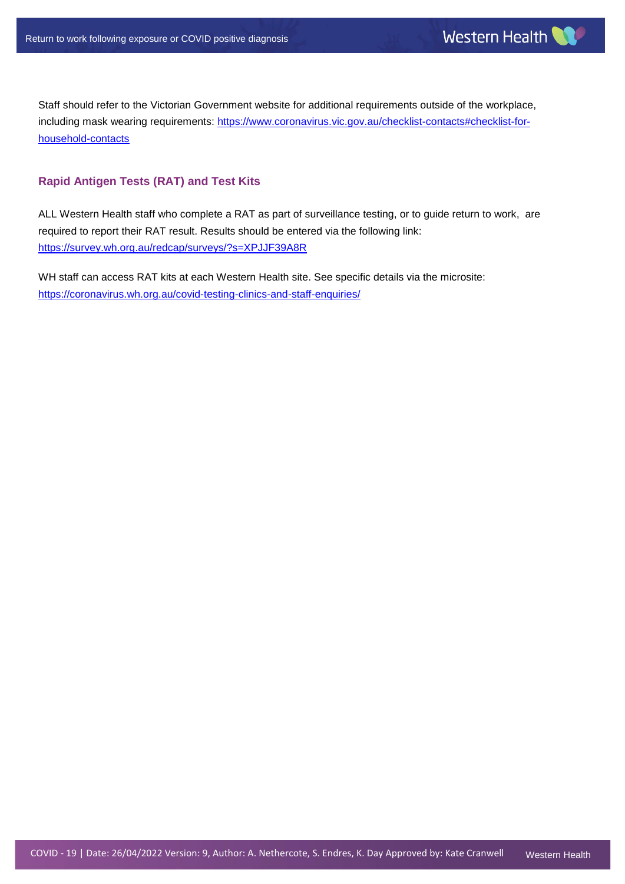Staff should refer to the Victorian Government website for additional requirements outside of the workplace, including mask wearing requirements: [https://www.coronavirus.vic.gov.au/checklist-contacts#checklist-for](https://www.coronavirus.vic.gov.au/checklist-contacts#checklist-for-household-contacts)[household-contacts](https://www.coronavirus.vic.gov.au/checklist-contacts#checklist-for-household-contacts)

## **Rapid Antigen Tests (RAT) and Test Kits**

ALL Western Health staff who complete a RAT as part of surveillance testing, or to guide return to work, are required to report their RAT result. Results should be entered via the following link: <https://survey.wh.org.au/redcap/surveys/?s=XPJJF39A8R>

<span id="page-2-0"></span>WH staff can access RAT kits at each Western Health site. See specific details via the microsite: <https://coronavirus.wh.org.au/covid-testing-clinics-and-staff-enquiries/>